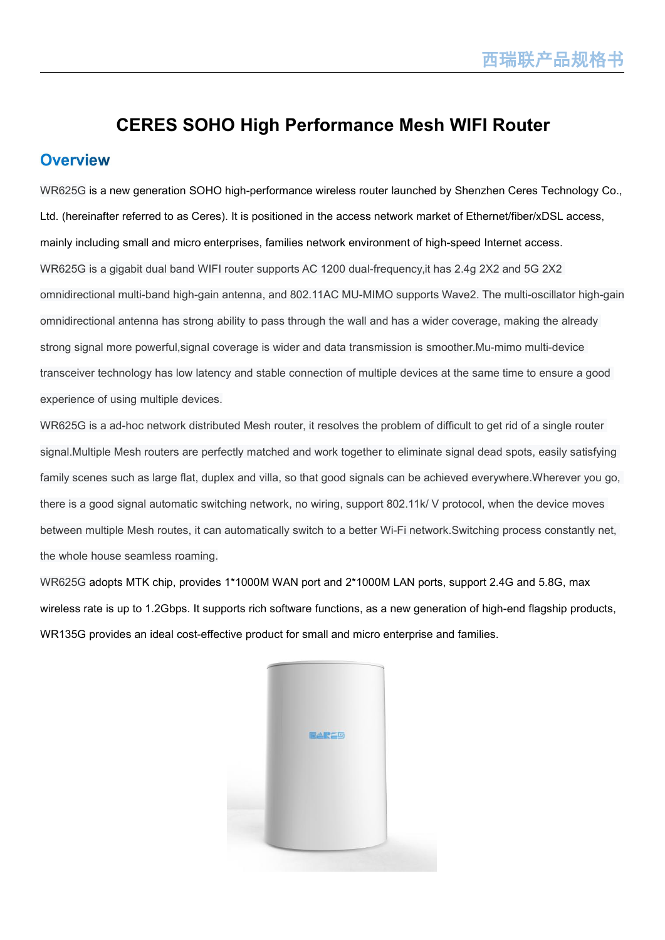## **CERES SOHO High Performance Mesh WIFI Router**

#### **Overview**

WR625G is a new generation SOHO high-performance wireless router launched by Shenzhen Ceres Technology Co., Ltd. (hereinafter referred to as Ceres). It is positioned in the access network market of Ethernet/fiber/xDSL access, mainly including small and micro enterprises, families network environment of high-speed Internet access. WR625G is a gigabit dual band WIFI router supports AC 1200 dual-frequency,it has 2.4g 2X2 and 5G 2X2 omnidirectional multi-band high-gain antenna, and 802.11AC MU-MIMO supports Wave2. The multi-oscillator high-gain omnidirectional antenna has strong ability to pass through the wall and has a wider coverage, making the already strong signal more powerful,signal coverage is wider and data transmission is smoother.Mu-mimo multi-device transceiver technology has low latency and stable connection of multiple devices at the same time to ensure a good experience of using multiple devices.

WR625G is a ad-hoc network distributed Mesh router, it resolves the problem of difficult to get rid of a single router signal.Multiple Mesh routers are perfectly matched and work together to eliminate signal dead spots, easily satisfying family scenes such as large flat, duplex and villa, so that good signals can be achieved everywhere.Wherever you go, there is a good signal automatic switching network, no wiring, support 802.11k/ V protocol, when the device moves between multiple Mesh routes, it can automatically switch to a better Wi-Finetwork.Switching process constantly net, the whole house seamless roaming.<br>WR625G adopts MTK chip, provides 1\*1000M WAN port and 2\*1000M LAN ports, support 2.4G and 5.8G, max

wireless rate is up to 1.2Gbps. It supports rich software functions, as a new generation of high-end flagship products, WR135G provides an ideal cost-effective product for small and micro enterprise and families.

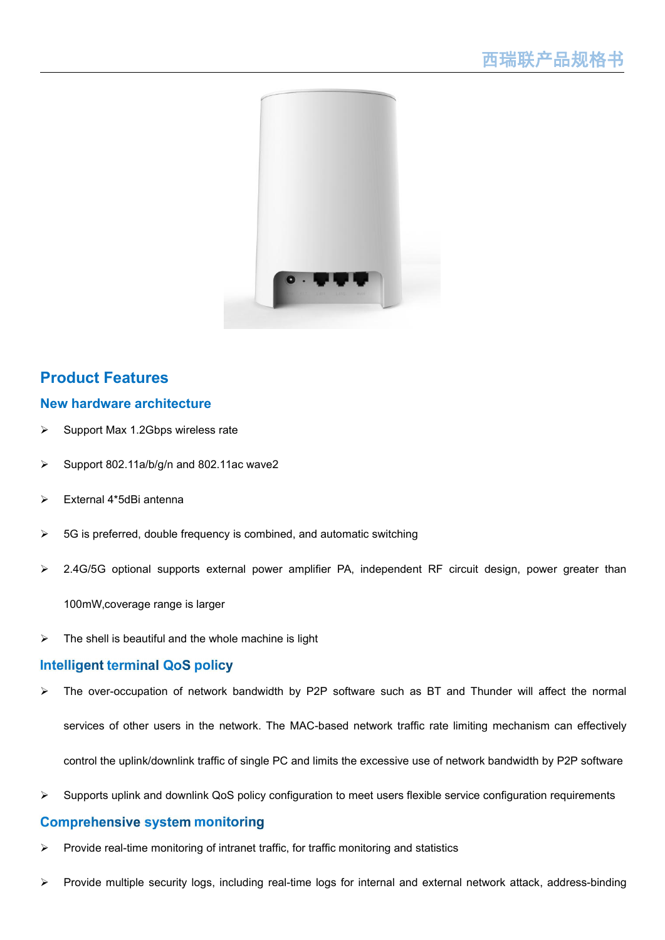

#### **Product Features**

#### **New hardware architecture**

- Support Max 1.2Gbps wireless rate
- Support 802.11a/b/g/n and 802.11ac wave2
- External 4\*5dBi antenna
- $\geq$  5G is preferred, double frequency is combined, and automatic switching
- 2.4G/5G optional supports external power amplifier PA, independent RF circuit design, power greater than

100mW, coverage range is larger

 $\triangleright$  The shell is beautiful and the whole machine is light

#### **Intelligent terminal QoS policy**

- The over-occupation of network bandwidth by P2P software such as BT and Thunder will affect the normal services of other users in the network. The MAC-based network traffic rate limiting mechanism can effectively control the uplink/downlink traffic of single PC and limits the excessive use of network bandwidth by P2P software
- $\triangleright$  Supports uplink and downlink QoS policy configuration to meet users flexible service configuration requirements

#### **Comprehensive system monitoring**

- Provide real-time monitoring of intranet traffic, for traffic monitoring and statistics
- Provide multiple security logs, including real-time logs for internaland external network attack, address-binding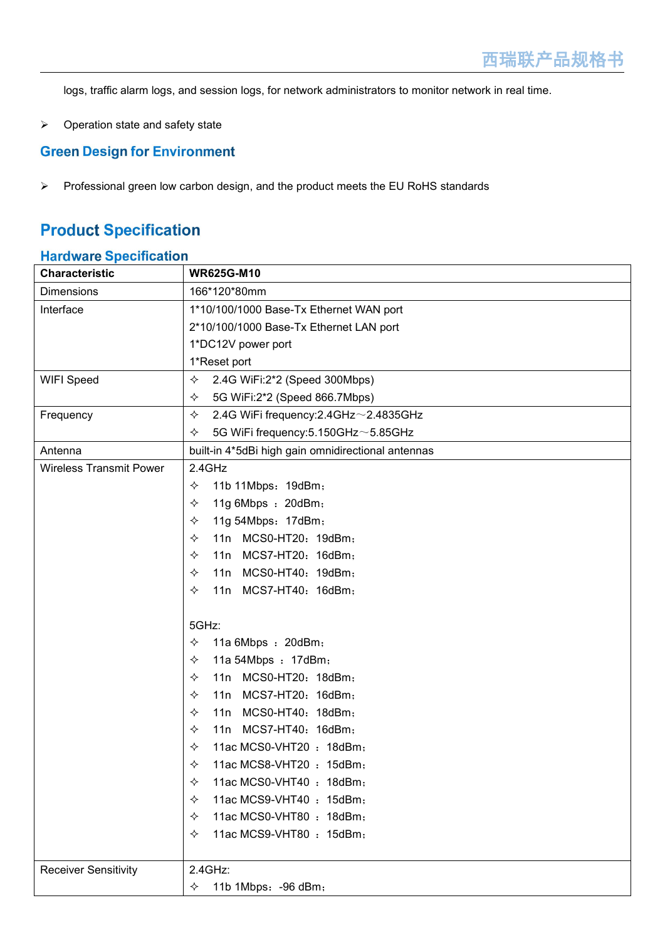logs, traffic alarm logs, and session logs, for network administrators to monitor network in real time.

 $\triangleright$  Operation state and safety state

#### **Green Design for Environment**

 $\triangleright$  Professional green low carbon design, and the product meets the EU RoHS standards

## **Product Specification**

#### **Hardware Specification**

| <b>Characteristic</b>          | <b>WR625G-M10</b>                                       |
|--------------------------------|---------------------------------------------------------|
| <b>Dimensions</b>              | 166*120*80mm                                            |
| Interface                      | 1*10/100/1000 Base-Tx Ethernet WAN port                 |
|                                | 2*10/100/1000 Base-Tx Ethernet LAN port                 |
|                                | 1*DC12V power port                                      |
|                                | 1*Reset port                                            |
| WIFI Speed                     | ✧<br>2.4G WiFi:2*2 (Speed 300Mbps)                      |
|                                | 5G WiFi:2*2 (Speed 866.7Mbps)<br>✧                      |
| Frequency                      | ✧<br>2.4G WiFi frequency: $2.4$ GHz $\sim$ $2.4835$ GHz |
|                                | 5G WiFi frequency: 5.150GHz ~ 5.85GHz<br>✧              |
| Antenna                        | built-in 4*5dBi high gain omnidirectional antennas      |
| <b>Wireless Transmit Power</b> | 2.4GHz                                                  |
|                                | 11b 11Mbps: 19dBm;<br>✧                                 |
|                                | 11g 6Mbps : 20dBm;<br>✧                                 |
|                                | 11g 54Mbps: 17dBm;<br>✧                                 |
|                                | 11n MCS0-HT20: 19dBm;<br>✧                              |
|                                | 11n MCS7-HT20: 16dBm;<br>✧                              |
|                                | 11n MCS0-HT40: 19dBm;<br>✧                              |
|                                | 11n MCS7-HT40: 16dBm;<br>✧                              |
|                                |                                                         |
|                                | 5GHz:                                                   |
|                                | 11a 6Mbps : 20dBm;<br>✧                                 |
|                                | 11a 54Mbps : 17dBm;<br>✧                                |
|                                | 11n MCS0-HT20: 18dBm;<br>✧                              |
|                                | 11n MCS7-HT20: 16dBm;<br>✧                              |
|                                | 11n MCS0-HT40: 18dBm;<br>✧                              |
|                                | MCS7-HT40: 16dBm;<br>✧<br>11n                           |
|                                | ✧<br>11ac MCS0-VHT20: 18dBm;                            |
|                                | ✧<br>11ac MCS8-VHT20: 15dBm;                            |
|                                | 11ac MCS0-VHT40: 18dBm;<br>✧                            |
|                                | 11ac MCS9-VHT40 : 15dBm;<br>✧                           |
|                                | 11ac MCS0-VHT80 : 18dBm;<br>✧                           |
|                                | 11ac MCS9-VHT80 : 15dBm;<br>✧                           |
| <b>Receiver Sensitivity</b>    | 2.4GHz:                                                 |
|                                | 11b 1Mbps: - 96 dBm;<br>✧                               |
|                                |                                                         |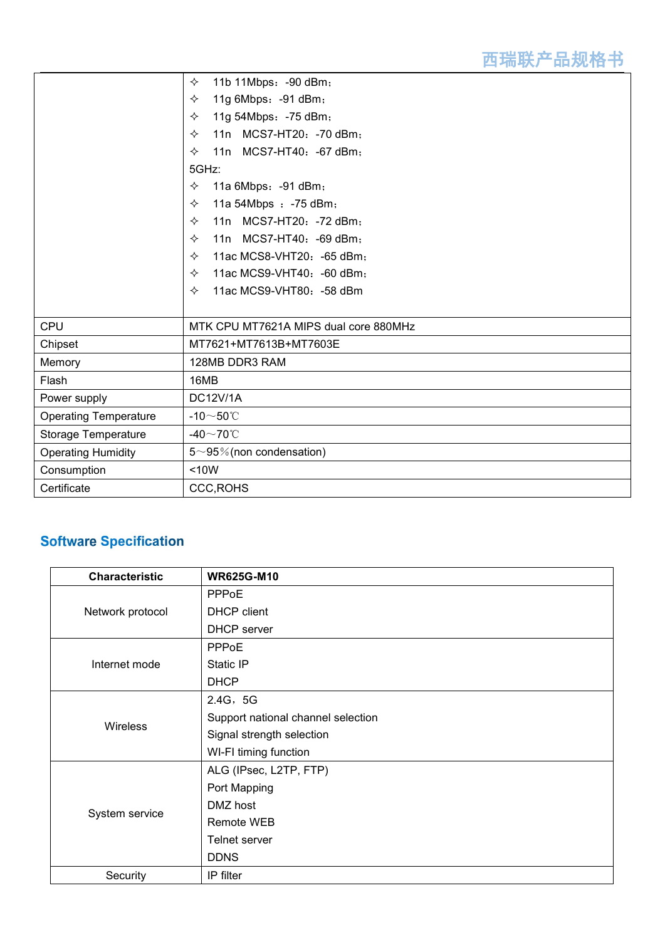|                              | 11b 11Mbps: - 90 dBm;<br>✧                     |
|------------------------------|------------------------------------------------|
|                              | 11g 6Mbps: - 91 dBm;<br>✧                      |
|                              | 11g 54Mbps: - 75 dBm;<br>✧                     |
|                              | 11n MCS7-HT20: -70 dBm;<br>✧                   |
|                              | MCS7-HT40: -67 dBm;<br>✧<br>11n                |
|                              | 5GHz:                                          |
|                              | 11a 6Mbps: - 91 dBm;<br>✧                      |
|                              | 11a 54Mbps : -75 dBm;<br>✧                     |
|                              | 11n MCS7-HT20: -72 dBm;<br>✧                   |
|                              | 11n MCS7-HT40: -69 dBm;<br>$\leftrightarrow$   |
|                              | 11ac MCS8-VHT20: -65 dBm;<br>$\leftrightarrow$ |
|                              | 11ac MCS9-VHT40: -60 dBm;<br>✧                 |
|                              | 11ac MCS9-VHT80: - 58 dBm<br>✧                 |
|                              |                                                |
| <b>CPU</b>                   | MTK CPU MT7621A MIPS dual core 880MHz          |
| Chipset                      | MT7621+MT7613B+MT7603E                         |
| Memory                       | 128MB DDR3 RAM                                 |
| Flash                        | 16MB                                           |
| Power supply                 | <b>DC12V/1A</b>                                |
| <b>Operating Temperature</b> | -10 $\sim$ 50°C                                |
| Storage Temperature          | -40 $\sim$ 70°C                                |
| <b>Operating Humidity</b>    | $5 \sim 95\%$ (non condensation)               |
| Consumption                  | < 10W                                          |
| Certificate                  | <b>CCC, ROHS</b>                               |

## **Software Specification**

| <b>Characteristic</b> | <b>WR625G-M10</b>                  |
|-----------------------|------------------------------------|
| Network protocol      | PPPoE                              |
|                       | <b>DHCP</b> client                 |
|                       | <b>DHCP</b> server                 |
|                       | PPPoE                              |
| Internet mode         | Static IP                          |
|                       | <b>DHCP</b>                        |
|                       | 2.4G, 5G                           |
| Wireless              | Support national channel selection |
|                       | Signal strength selection          |
|                       | WI-FI timing function              |
| System service        | ALG (IPsec, L2TP, FTP)             |
|                       | Port Mapping                       |
|                       | DMZ host                           |
|                       | <b>Remote WEB</b>                  |
|                       | Telnet server                      |
|                       | <b>DDNS</b>                        |
| Security              | IP filter                          |